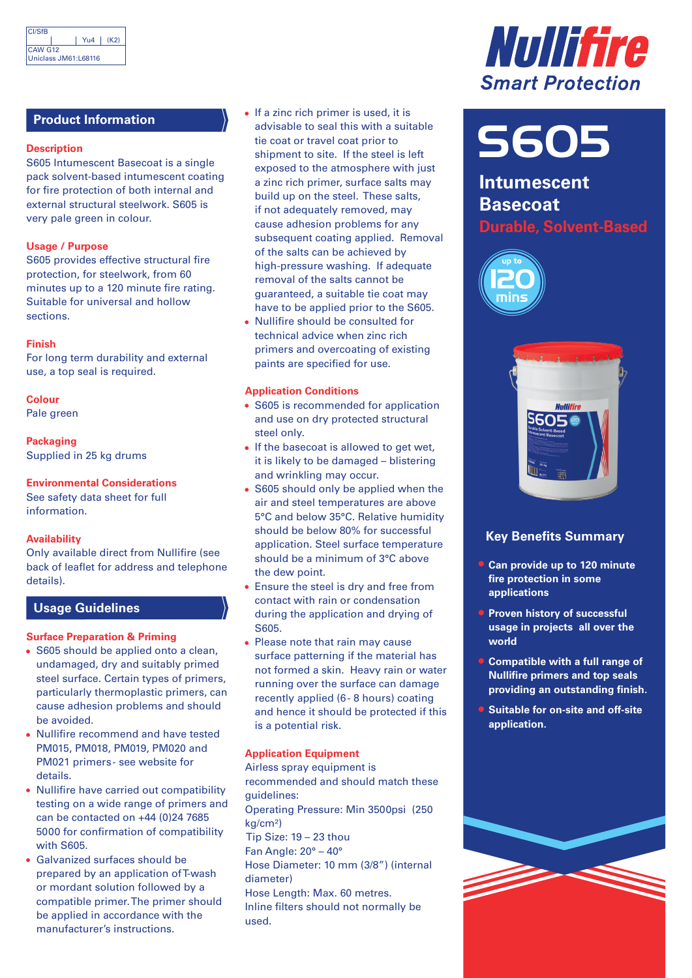# **Product Information**

### **Description**

S605 Intumescent Basecoat is a single pack solvent-based intumescent coating for fire protection of both internal and external structural steelwork. S605 is very pale green in colour.

### **Usage / Purpose**

S605 provides effective structural fire protection, for steelwork, from 60 minutes up to a 120 minute fire rating. Suitable for universal and hollow sections.

### **Finish**

For long term durability and external use, a top seal is required.

# **Colour**

Pale green

# **Packaging**

Supplied in 25 kg drums

## **Environmental Considerations**

See safety data sheet for full information.

# **Availability**

Only available direct from Nullifire (see back of leaflet for address and telephone details).

# **Usage Guidelines**

# **Surface Preparation & Priming**

- **•** S605 should be applied onto a clean, undamaged, dry and suitably primed steel surface. Certain types of primers, particularly thermoplastic primers, can cause adhesion problems and should be avoided.
- **•** Nullifire recommend and have tested PM015, PM018, PM019, PM020 and PM021 primers - see website for details.
- **•** Nullifire have carried out compatibility testing on a wide range of primers and can be contacted on +44 (0)24 7685 5000 for confirmation of compatibility with S605.
- **•** Galvanized surfaces should be prepared by an application of T-wash or mordant solution followed by a compatible primer. The primer should be applied in accordance with the manufacturer's instructions.
- **•** If a zinc rich primer is used, it is advisable to seal this with a suitable tie coat or travel coat prior to shipment to site. If the steel is left exposed to the atmosphere with just a zinc rich primer, surface salts may build up on the steel. These salts, if not adequately removed, may cause adhesion problems for any subsequent coating applied. Removal of the salts can be achieved by high-pressure washing. If adequate removal of the salts cannot be guaranteed, a suitable tie coat may have to be applied prior to the S605.
- **•** Nullifire should be consulted for technical advice when zinc rich primers and overcoating of existing paints are specified for use.

# **Application Conditions**

- **•** S605 is recommended for application and use on dry protected structural steel only.
- **•** If the basecoat is allowed to get wet, it is likely to be damaged – blistering and wrinkling may occur.
- **•** S605 should only be applied when the air and steel temperatures are above 5°C and below 35°C. Relative humidity should be below 80% for successful application. Steel surface temperature should be a minimum of 3°C above the dew point.
- **•** Ensure the steel is dry and free from contact with rain or condensation during the application and drying of S605.
- **•** Please note that rain may cause surface patterning if the material has not formed a skin. Heavy rain or water running over the surface can damage recently applied (6 - 8 hours) coating and hence it should be protected if this is a potential risk.

# **Application Equipment**

Airless spray equipment is recommended and should match these guidelines: Operating Pressure: Min 3500psi (250 kg/cm²) Tip Size: 19 – 23 thou Fan Angle: 20° – 40° Hose Diameter: 10 mm (3/8") (internal diameter) Hose Length: Max. 60 metres. Inline filters should not normally be used.



S605

**Intumescent Basecoat Durable, Solvent-Based**





# **Key Benefits Summary**

- **• Can provide up to 120 minute fire protection in some applications**
- **• Proven history of successful usage in projects all over the world**
- **• Compatible with a full range of Nullifire primers and top seals providing an outstanding finish.**
- **• Suitable for on-site and off-site application.**

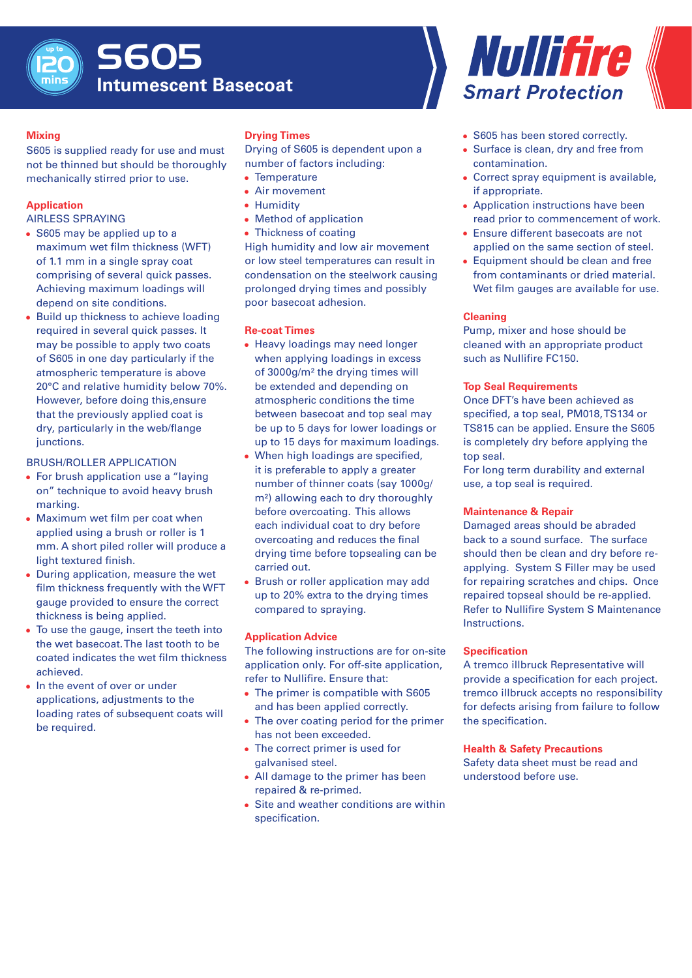

# S605 **Intumescent Basecoat**

#### **Mixing**

S605 is supplied ready for use and must not be thinned but should be thoroughly mechanically stirred prior to use.

## **Application**

- AIRLESS SPRAYING
- **•** S605 may be applied up to a maximum wet film thickness (WFT) of 1.1 mm in a single spray coat comprising of several quick passes. Achieving maximum loadings will depend on site conditions.
- **•** Build up thickness to achieve loading required in several quick passes. It may be possible to apply two coats of S605 in one day particularly if the atmospheric temperature is above 20°C and relative humidity below 70%. However, before doing this,ensure that the previously applied coat is dry, particularly in the web/flange junctions.

#### BRUSH/ROLLER APPLICATION

- **•** For brush application use a "laying on" technique to avoid heavy brush marking.
- **•** Maximum wet film per coat when applied using a brush or roller is 1 mm. A short piled roller will produce a light textured finish.
- **•** During application, measure the wet film thickness frequently with the WFT gauge provided to ensure the correct thickness is being applied.
- **•** To use the gauge, insert the teeth into the wet basecoat. The last tooth to be coated indicates the wet film thickness achieved.
- **•** In the event of over or under applications, adjustments to the loading rates of subsequent coats will be required.

#### **Drying Times**

Drying of S605 is dependent upon a number of factors including:

- **•** Temperature
- **•** Air movement
- **•** Humidity
- **•** Method of application
- **•** Thickness of coating

High humidity and low air movement or low steel temperatures can result in condensation on the steelwork causing prolonged drying times and possibly poor basecoat adhesion.

#### **Re-coat Times**

- **•** Heavy loadings may need longer when applying loadings in excess of 3000g/m² the drying times will be extended and depending on atmospheric conditions the time between basecoat and top seal may be up to 5 days for lower loadings or up to 15 days for maximum loadings.
- **•** When high loadings are specified, it is preferable to apply a greater number of thinner coats (say 1000g/ m²) allowing each to dry thoroughly before overcoating. This allows each individual coat to dry before overcoating and reduces the final drying time before topsealing can be carried out.
- **•** Brush or roller application may add up to 20% extra to the drying times compared to spraying.

#### **Application Advice**

The following instructions are for on-site application only. For off-site application, refer to Nullifire. Ensure that:

- **•** The primer is compatible with S605 and has been applied correctly.
- **•** The over coating period for the primer has not been exceeded.
- **•** The correct primer is used for galvanised steel.
- **•** All damage to the primer has been repaired & re-primed.
- **•** Site and weather conditions are within specification.



- **•** S605 has been stored correctly.
- **•** Surface is clean, dry and free from contamination.
- **•** Correct spray equipment is available, if appropriate.
- **•** Application instructions have been read prior to commencement of work.
- **•** Ensure different basecoats are not applied on the same section of steel.
- **•** Equipment should be clean and free from contaminants or dried material. Wet film gauges are available for use.

#### **Cleaning**

Pump, mixer and hose should be cleaned with an appropriate product such as Nullifire FC150.

#### **Top Seal Requirements**

Once DFT's have been achieved as specified, a top seal, PM018, TS134 or TS815 can be applied. Ensure the S605 is completely dry before applying the top seal.

For long term durability and external use, a top seal is required.

#### **Maintenance & Repair**

Damaged areas should be abraded back to a sound surface. The surface should then be clean and dry before reapplying. System S Filler may be used for repairing scratches and chips. Once repaired topseal should be re-applied. Refer to Nullifire System S Maintenance Instructions.

#### **Specification**

A tremco illbruck Representative will provide a specification for each project. tremco illbruck accepts no responsibility for defects arising from failure to follow the specification.

#### **Health & Safety Precautions**

Safety data sheet must be read and understood before use.